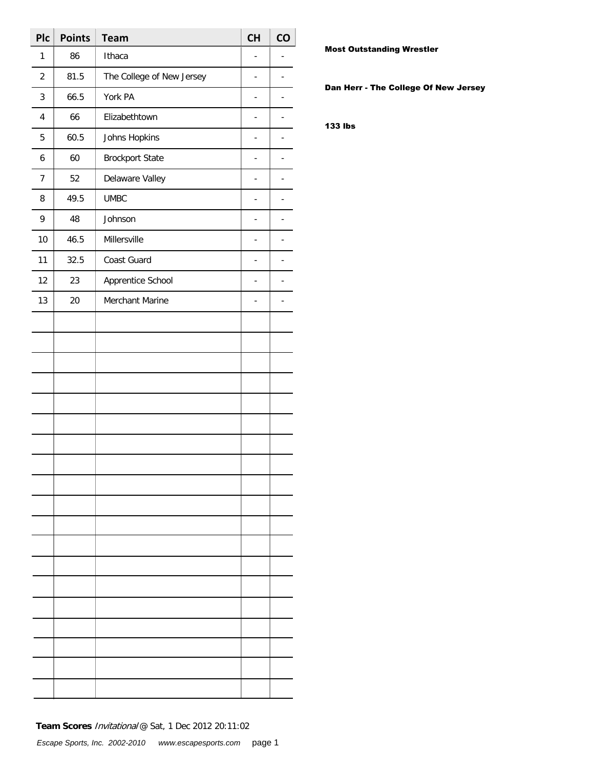| <b>Plc</b>              | <b>Points</b> | <b>Team</b>               | CH             | CO |
|-------------------------|---------------|---------------------------|----------------|----|
| 1                       | 86            | Ithaca                    |                |    |
| $\sqrt{2}$              | 81.5          | The College of New Jersey | ÷,             |    |
| 3                       | 66.5          | York PA                   | ÷,             |    |
| $\overline{\mathbf{4}}$ | 66            | Elizabethtown             | $\overline{a}$ |    |
| 5                       | 60.5          | Johns Hopkins             | ÷.             |    |
| 6                       | 60            | <b>Brockport State</b>    | ÷,             |    |
| $\overline{7}$          | 52            | Delaware Valley           | ÷,             |    |
| 8                       | 49.5          | <b>UMBC</b>               | $\overline{a}$ |    |
| 9                       | 48            | Johnson                   | ÷.             |    |
| 10                      | 46.5          | Millersville              | ÷,             |    |
| 11                      | 32.5          | Coast Guard               | ÷,             |    |
| 12                      | 23            | Apprentice School         | ÷.             |    |
| 13                      | 20            | Merchant Marine           | ÷.             |    |
|                         |               |                           |                |    |
|                         |               |                           |                |    |
|                         |               |                           |                |    |
|                         |               |                           |                |    |
|                         |               |                           |                |    |
|                         |               |                           |                |    |
|                         |               |                           |                |    |
|                         |               |                           |                |    |
|                         |               |                           |                |    |
|                         |               |                           |                |    |
|                         |               |                           |                |    |
|                         |               |                           |                |    |
|                         |               |                           |                |    |
|                         |               |                           |                |    |
|                         |               |                           |                |    |
|                         |               |                           |                |    |
|                         |               |                           |                |    |
|                         |               |                           |                |    |
|                         |               |                           |                |    |

Most Outstanding Wrestler

Dan Herr - The College Of New Jersey

133 lbs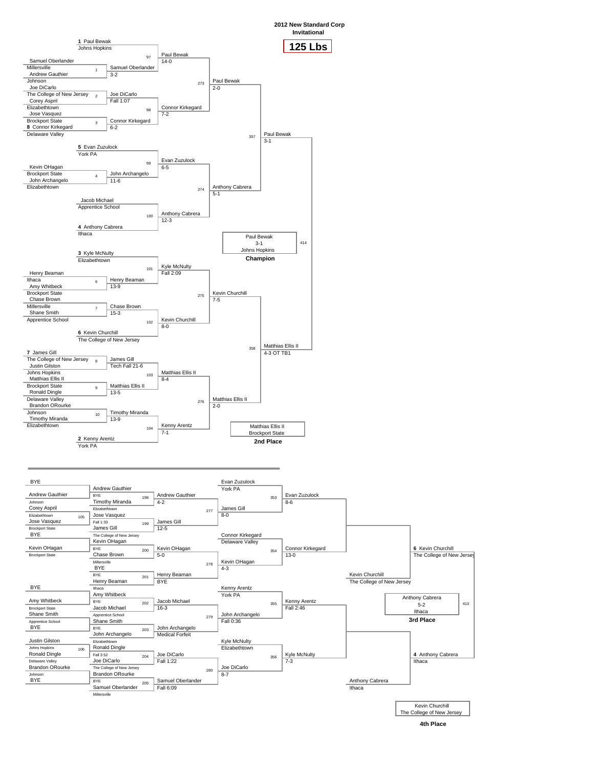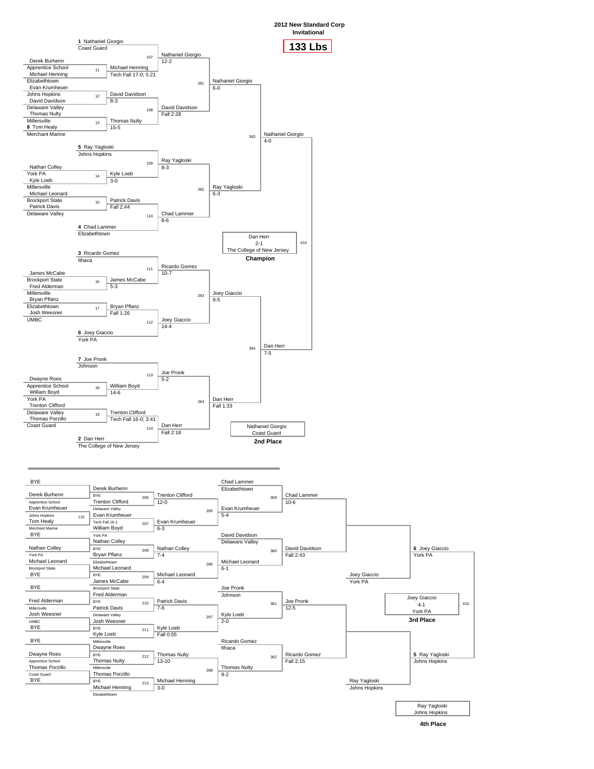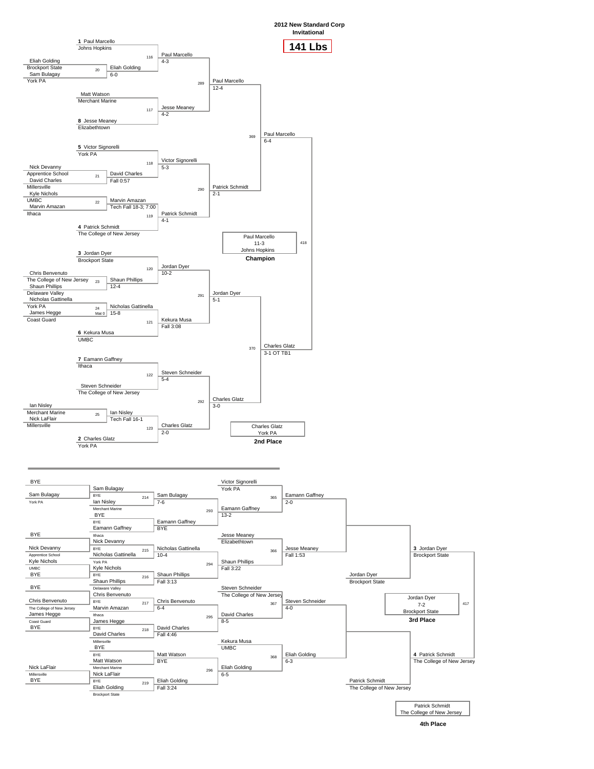

**2012 New Standard Corp**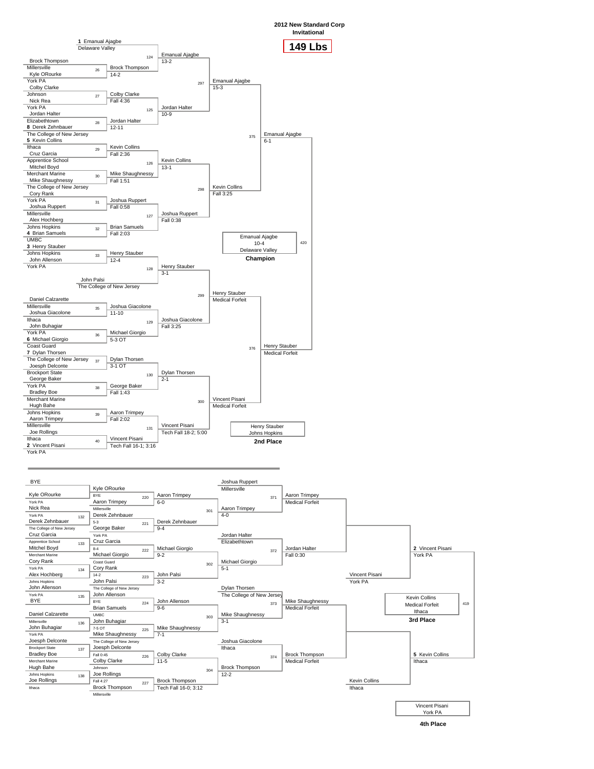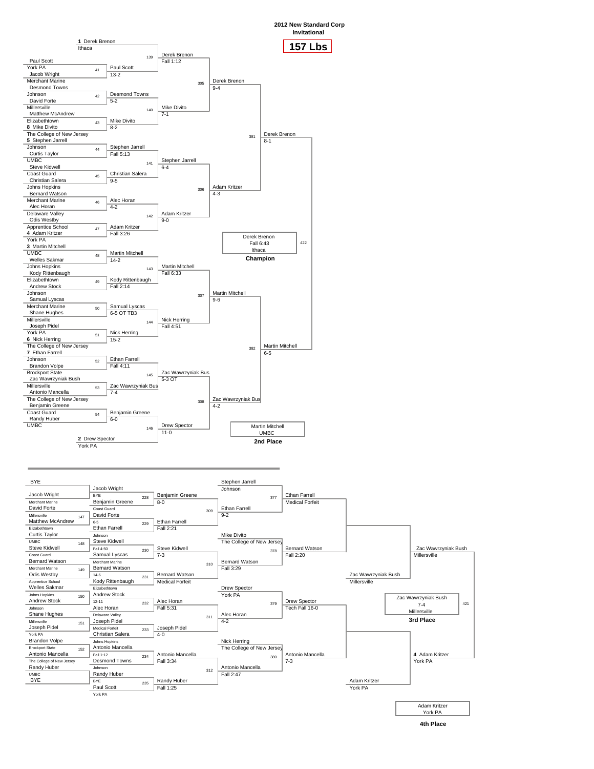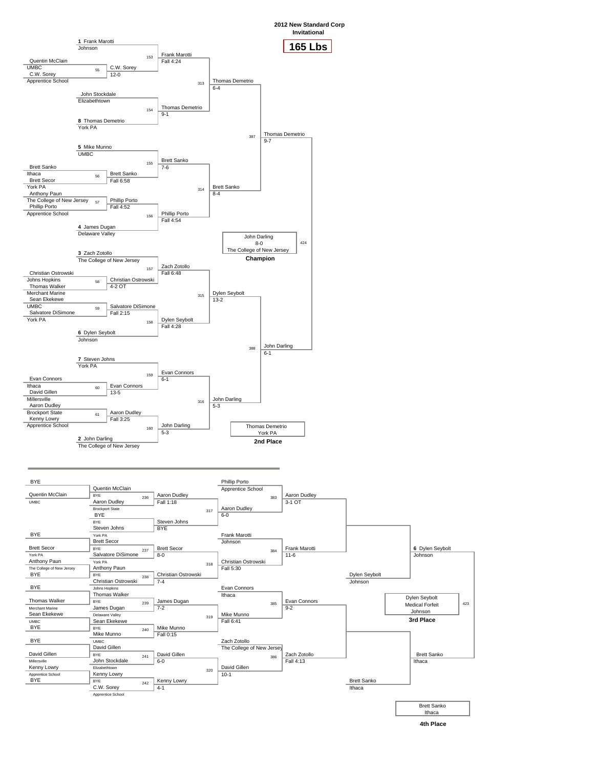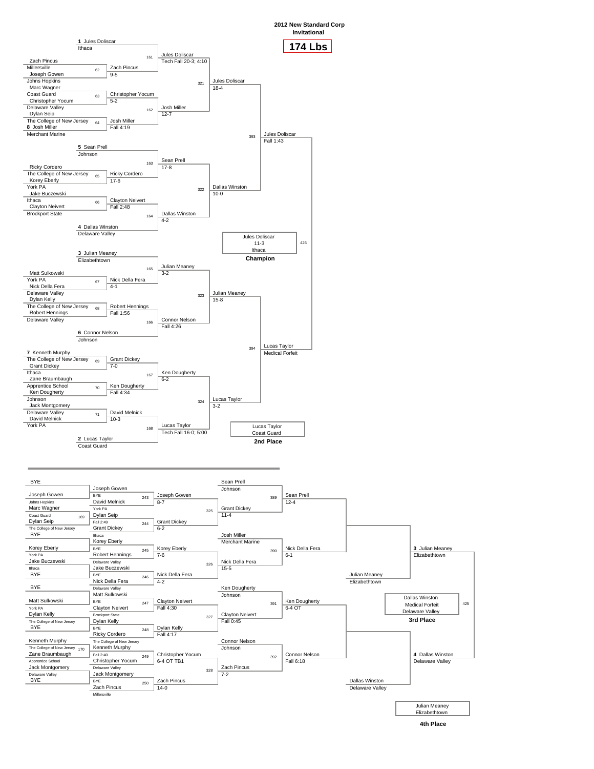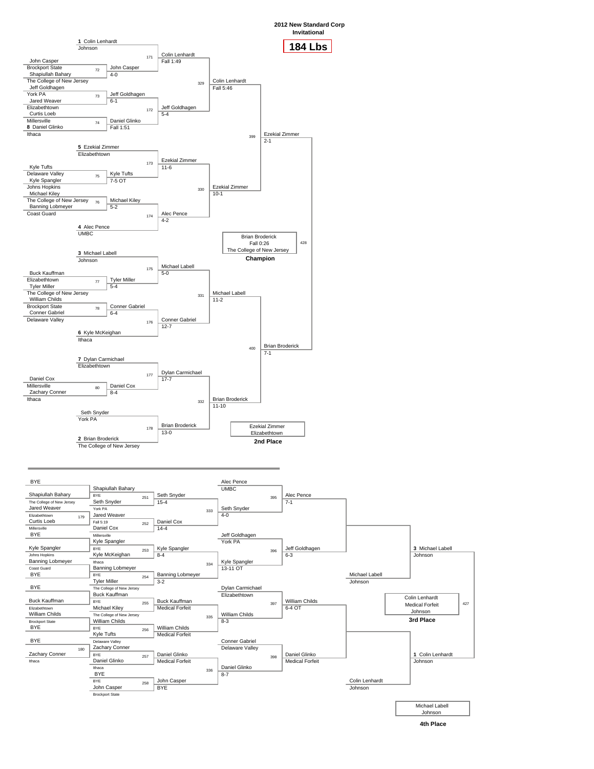

**2012 New Standard Corp**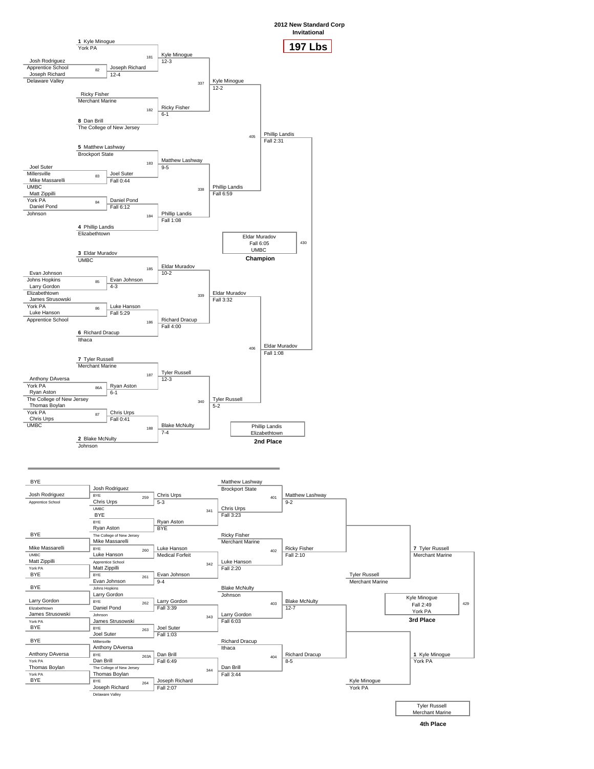